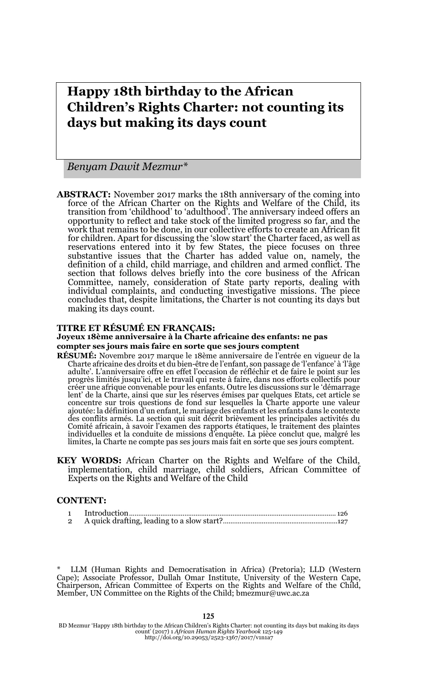# **Happy 18th birthday to the African Children's Rights Charter: not counting its days but making its days count**

*Benyam Dawit Mezmur\** 

**ABSTRACT:** November 2017 marks the 18th anniversary of the coming into force of the African Charter on the Rights and Welfare of the Child, its transition from 'childhood' to 'adulthood'. The anniversary indeed offers an opportunity to reflect and take stock of the limited progress so far, and the work that remains to be done, in our collective efforts to create an African fit for children. Apart for discussing the 'slow start' the Charter faced, as well as reservations entered into it by few States, the piece focuses on three substantive issues that the Charter has added value on, namely, the definition of a child, child marriage, and children and armed conflict. The section that follows delves briefly into the core business of the African Committee, namely, consideration of State party reports, dealing with individual complaints, and conducting investigative missions. The piece concludes that, despite limitations, the Charter is not counting its days but making its days count.

#### **TITRE ET RÉSUMÉ EN FRANÇAIS:**

#### **Joyeux 18ème anniversaire à la Charte africaine des enfants: ne pas compter ses jours mais faire en sorte que ses jours comptent**

- **RÉSUMÉ:** Novembre 2017 marque le 18ème anniversaire de l'entrée en vigueur de la Charte africaine des droits et du bien-être de l'enfant, son passage de 'l'enfance' à 'l'âge adulte'. L'anniversaire offre en effet l'occasion de réfléchir et de faire le point sur les progrès limités jusqu'ici, et le travail qui reste à faire, dans nos efforts collectifs pour créer une afrique convenable pour les enfants. Outre les discussions sur le 'démarrage lent' de la Charte, ainsi que sur les réserves émises par quelques Etats, cet article se concentre sur trois questions de fond sur lesquelles la Charte apporte une valeur ajoutée: la définition d'un enfant, le mariage des enfants et les enfants dans le contexte des conflits armés. La section qui suit décrit brièvement les principales activités du Comité africain, à savoir l'examen des rapports étatiques, le traitement des plaintes individuelles et la conduite de missions d'enquête. La pièce conclut que, malgré les limites, la Charte ne compte pas ses jours mais fait en sorte que ses jours comptent.
- **KEY WORDS:** African Charter on the Rights and Welfare of the Child, implementation, child marriage, child soldiers, African Committee of Experts on the Rights and Welfare of the Child

#### **CONTENT:**

LLM (Human Rights and Democratisation in Africa) (Pretoria); LLD (Western Cape); Associate Professor, Dullah Omar Institute, University of the Western Cape, Chairperson, African Committee of Experts on the Rights and Welfare of the Child, Member, UN Committee on the Rights of the Child; bmezmur@uwc.ac.za

BD Mezmur 'Happy 18th birthday to the African Children's Rights Charter: not counting its days but making its days count' (2017) 1 *African Human Rights Yearbook* 125-149 http://doi.org/10.29053/2523-1367/2017/v1n1a7

125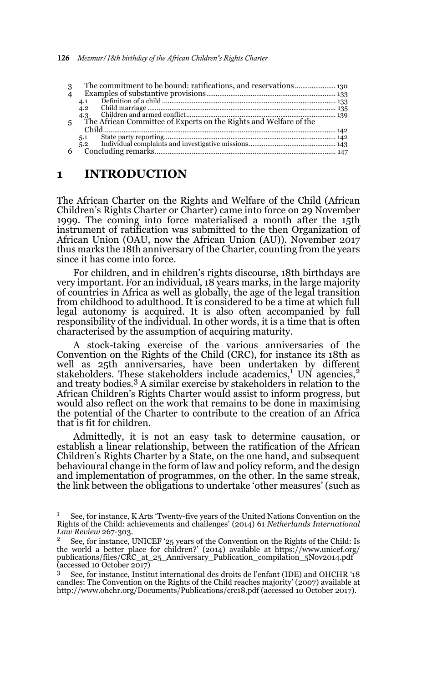| 3              |                                                                   |  |
|----------------|-------------------------------------------------------------------|--|
| $\overline{4}$ |                                                                   |  |
|                | 4.1                                                               |  |
|                | 4.2                                                               |  |
|                | 4.3                                                               |  |
| 5              | The African Committee of Experts on the Rights and Welfare of the |  |
|                |                                                                   |  |
|                | 5.1                                                               |  |
|                | 5.2                                                               |  |
| 6              |                                                                   |  |

#### **1 INTRODUCTION**

The African Charter on the Rights and Welfare of the Child (African Children's Rights Charter or Charter) came into force on 29 November 1999. The coming into force materialised a month after the 15th instrument of ratification was submitted to the then Organization of African Union (OAU, now the African Union (AU)). November 2017 thus marks the 18th anniversary of the Charter, counting from the years since it has come into force.

For children, and in children's rights discourse, 18th birthdays are very important. For an individual, 18 years marks, in the large majority of countries in Africa as well as globally, the age of the legal transition from childhood to adulthood. It is considered to be a time at which full legal autonomy is acquired. It is also often accompanied by full responsibility of the individual. In other words, it is a time that is often characterised by the assumption of acquiring maturity.

A stock-taking exercise of the various anniversaries of the Convention on the Rights of the Child (CRC), for instance its 18th as well as 25th anniversaries, have been undertaken by different stakeholders. These stakeholders include academics,<sup>1</sup> UN agencies,<sup>2</sup> and treaty bodies.3 A similar exercise by stakeholders in relation to the African Children's Rights Charter would assist to inform progress, but would also reflect on the work that remains to be done in maximising the potential of the Charter to contribute to the creation of an Africa that is fit for children.

Admittedly, it is not an easy task to determine causation, or establish a linear relationship, between the ratification of the African Children's Rights Charter by a State, on the one hand, and subsequent behavioural change in the form of law and policy reform, and the design and implementation of programmes, on the other. In the same streak, the link between the obligations to undertake 'other measures' (such as

<sup>1</sup> See, for instance, K Arts 'Twenty-five years of the United Nations Convention on the Rights of the Child: achievements and challenges' (2014) 61 *Netherlands International Law Review* 267-303.

<sup>&</sup>lt;sup>2</sup> See, for instance, UNICEF '25 years of the Convention on the Rights of the Child: Is the world a better place for children?' (2014) available at https://www.unicef.org/ publications/files/CRC\_at\_25\_Anniversary\_Publication\_compilation\_5Nov2014.pdf (accessed 10 October 2017)

<sup>3</sup> See, for instance, Institut international des droits de l'enfant (IDE) and OHCHR '18 candles: The Convention on the Rights of the Child reaches majority' (2007) available at http://www.ohchr.org/Documents/Publications/crc18.pdf (accessed 10 October 2017).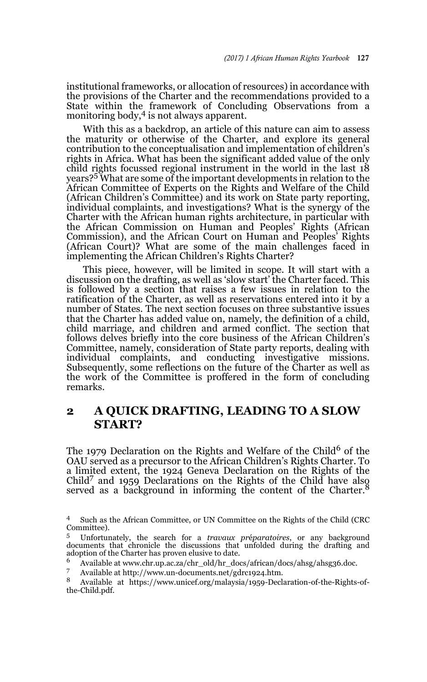institutional frameworks, or allocation of resources) in accordance with the provisions of the Charter and the recommendations provided to a State within the framework of Concluding Observations from a monitoring body,<sup>4</sup> is not always apparent.

With this as a backdrop, an article of this nature can aim to assess the maturity or otherwise of the Charter, and explore its general contribution to the conceptualisation and implementation of children's rights in Africa. What has been the significant added value of the only child rights focussed regional instrument in the world in the last 18 years?5 What are some of the important developments in relation to the African Committee of Experts on the Rights and Welfare of the Child (African Children's Committee) and its work on State party reporting, individual complaints, and investigations? What is the synergy of the Charter with the African human rights architecture, in particular with the African Commission on Human and Peoples' Rights (African Commission), and the African Court on Human and Peoples' Rights (African Court)? What are some of the main challenges faced in implementing the African Children's Rights Charter?

This piece, however, will be limited in scope. It will start with a discussion on the drafting, as well as 'slow start' the Charter faced. This is followed by a section that raises a few issues in relation to the ratification of the Charter, as well as reservations entered into it by a number of States. The next section focuses on three substantive issues that the Charter has added value on, namely, the definition of a child, child marriage, and children and armed conflict. The section that follows delves briefly into the core business of the African Children's Committee, namely, consideration of State party reports, dealing with individual complaints, and conducting investigative missions. Subsequently, some reflections on the future of the Charter as well as the work of the Committee is proffered in the form of concluding remarks.

# **2 A QUICK DRAFTING, LEADING TO A SLOW START?**

The 1979 Declaration on the Rights and Welfare of the Child<sup>6</sup> of the OAU served as a precursor to the African Children's Rights Charter. To a limited extent, the 1924 Geneva Declaration on the Rights of the a limited extent, the 1924 Scheman contribution on the Child have also<br>Child<sup>7</sup> and 1959 Declarations on the Rights of the Child have also served as a background in informing the content of the Charter.<sup>8</sup>

<sup>6</sup> Available at www.chr.up.ac.za/chr\_old/hr\_docs/african/docs/ahsg/ahsg36.doc.

<sup>4</sup> Such as the African Committee, or UN Committee on the Rights of the Child (CRC Committee).

<sup>5</sup> Unfortunately, the search for a *travaux pr*é*paratoires*, or any background documents that chronicle the discussions that unfolded during the drafting and adoption of the Charter has proven elusive to date.

Available at http://www.un-documents.net/gdrc1924.htm.

<sup>8</sup> Available at https://www.unicef.org/malaysia/1959-Declaration-of-the-Rights-ofthe-Child.pdf.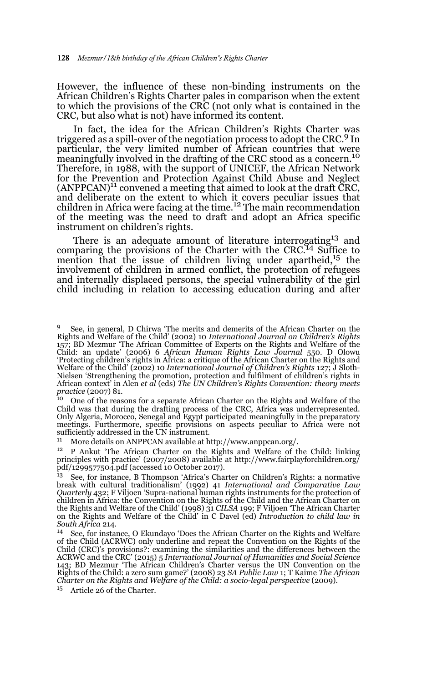However, the influence of these non-binding instruments on the African Children's Rights Charter pales in comparison when the extent to which the provisions of the CRC (not only what is contained in the CRC, but also what is not) have informed its content.

In fact, the idea for the African Children's Rights Charter was triggered as a spill-over of the negotiation process to adopt the CRC.9 In particular, the very limited number of African countries that were meaningfully involved in the drafting of the CRC stood as a concern.<sup>10</sup> Therefore, in 1988, with the support of UNICEF, the African Network for the Prevention and Protection Against Child Abuse and Neglect  $(ANPPCAN)^{11}$  convened a meeting that aimed to look at the draft CRC, and deliberate on the extent to which it covers peculiar issues that children in Africa were facing at the time.<sup>12</sup> The main recommendation of the meeting was the need to draft and adopt an Africa specific instrument on children's rights.

There is an adequate amount of literature interrogating<sup>13</sup> and comparing the provisions of the Charter with the CRC.<sup>14</sup> Suffice to mention that the issue of children living under apartheid,<sup>15</sup> the involvement of children in armed conflict, the protection of refugees and internally displaced persons, the special vulnerability of the girl child including in relation to accessing education during and after

<sup>10</sup> One of the reasons for a separate African Charter on the Rights and Welfare of the Child was that during the drafting process of the CRC, Africa was underrepresented. Only Algeria, Morocco, Senegal and Egypt participated meaningfully in the preparatory meetings. Furthermore, specific provisions on aspects peculiar to Africa were not sufficiently addressed in the UN instrument.

<sup>11</sup> More details on ANPPCAN available at http://www.anppcan.org/.

<sup>12</sup> P Ankut 'The African Charter on the Rights and Welfare of the Child: linking principles with practice' (2007/2008) available at http://www.fairplayforchildren.org/ pdf/1299577504.pdf (accessed 10 October 2017).

<sup>13</sup> See, for instance, B Thompson 'Africa's Charter on Children's Rights: a normative break with cultural traditionalism' (1992) 41 *International and Comparative Law Quarterly* 432; F Viljoen 'Supra-national human rights instruments for the protection of children in Africa: the Convention on the Rights of the Child and the African Charter on the Rights and Welfare of the Child' (1998) 31 *CILSA* 199; F Viljoen 'The African Charter on the Rights and Welfare of the Child' in C Davel (ed) *Introduction to child law in South Africa* 214.

<sup>14</sup> See, for instance, O Ekundayo 'Does the African Charter on the Rights and Welfare of the Child (ACRWC) only underline and repeat the Convention on the Rights of the Child (CRC)'s provisions?: examining the similarities and the differences between the ACRWC and the CRC' (2015) 5 *International Journal of Humanities and Social Science* 143; BD Mezmur 'The African Children's Charter versus the UN Convention on the Rights of the Child: a zero sum game?' (2008) 23 *SA Public Law* 1; T Kaime *The African Charter on the Rights and Welfare of the Child: a socio-legal perspective* (2009).

<sup>15</sup> Article 26 of the Charter.

<sup>9</sup> See, in general, D Chirwa 'The merits and demerits of the African Charter on the Rights and Welfare of the Child' (2002) 10 *International Journal on Children's Rights* 157; BD Mezmur 'The African Committee of Experts on the Rights and Welfare of the Child: an update' (2006) 6 *African Human Rights Law Journal* 550. D Olowu 'Protecting children's rights in Africa: a critique of the African Charter on the Rights and Welfare of the Child' (2002) 10 *International Journal of Children's Rights* 127; J Sloth-Nielsen 'Strengthening the promotion, protection and fulfilment of children's rights in African context' in Alen *et al* (eds) *The UN Children's Rights Convention: theory meets practice* (2007) 81.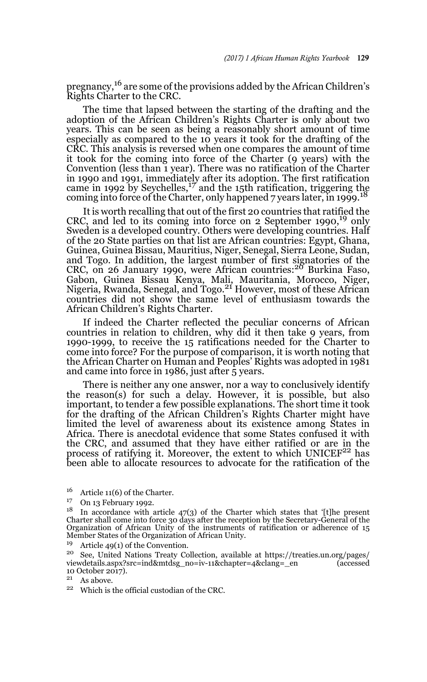pregnancy,<sup>16</sup> are some of the provisions added by the African Children's Rights Charter to the CRC.

The time that lapsed between the starting of the drafting and the adoption of the African Children's Rights Charter is only about two years. This can be seen as being a reasonably short amount of time especially as compared to the 10 years it took for the drafting of the CRC. This analysis is reversed when one compares the amount of time it took for the coming into force of the Charter (9 years) with the Convention (less than 1 year). There was no ratification of the Charter in 1990 and 1991, immediately after its adoption. The first ratification<br>came in 1992 by Seychelles,<sup>17</sup> and the 15th ratification, triggering the coming into force of the Charter, only happened 7 years later, in 1999.<sup>18</sup>

It is worth recalling that out of the first 20 countries that ratified the CRC, and led to its coming into force on  $2$  September 1990,<sup>19</sup> only Sweden is a developed country. Others were developing countries. Half of the 20 State parties on that list are African countries: Egypt, Ghana, Guinea, Guinea Bissau, Mauritius, Niger, Senegal, Sierra Leone, Sudan, and Togo. In addition, the largest number of first signatories of the CRC, on 26 January 1990, were African countries:<sup>20</sup> Burkina Faso, Gabon, Guinea Bissau Kenya, Mali, Mauritania, Morocco, Niger,<br>Nigeria, Rwanda, Senegal, and Togo.<sup>21</sup> However, most of these African countries did not show the same level of enthusiasm towards the African Children's Rights Charter.

If indeed the Charter reflected the peculiar concerns of African countries in relation to children, why did it then take 9 years, from 1990-1999, to receive the 15 ratifications needed for the Charter to come into force? For the purpose of comparison, it is worth noting that the African Charter on Human and Peoples' Rights was adopted in 1981 and came into force in 1986, just after 5 years.

There is neither any one answer, nor a way to conclusively identify the reason(s) for such a delay. However, it is possible, but also important, to tender a few possible explanations. The short time it took for the drafting of the African Children's Rights Charter might have limited the level of awareness about its existence among States in Africa. There is anecdotal evidence that some States confused it with the CRC, and assumed that they have either ratified or are in the process of ratifying it. Moreover, the extent to which  $UNICEF<sup>22</sup>$  has been able to allocate resources to advocate for the ratification of the

 $21$  As above.

<sup>&</sup>lt;sup>16</sup> Article 11(6) of the Charter.

 $^{17}$  On 13 February 1992.

 $18$  In accordance with article 47(3) of the Charter which states that '[t]he present Charter shall come into force 30 days after the reception by the Secretary-General of the Organization of African Unity of the instruments of ratification or adherence of 15 Member States of the Organization of African Unity.

<sup>&</sup>lt;sup>19</sup> Article 49(1) of the Convention.

<sup>&</sup>lt;sup>20</sup> See, United Nations Treaty Collection, available at https://treaties.un.org/pages/<br>viewdetails.aspx?src=ind&mtdsg\_no=iv-11&chapter=4&claps=\_en (accessed viewdetails.aspx?src=ind&mtdsg\_no=iv-11&chapter=4&clang=\_en 10 October 2017).

<sup>22</sup> Which is the official custodian of the CRC.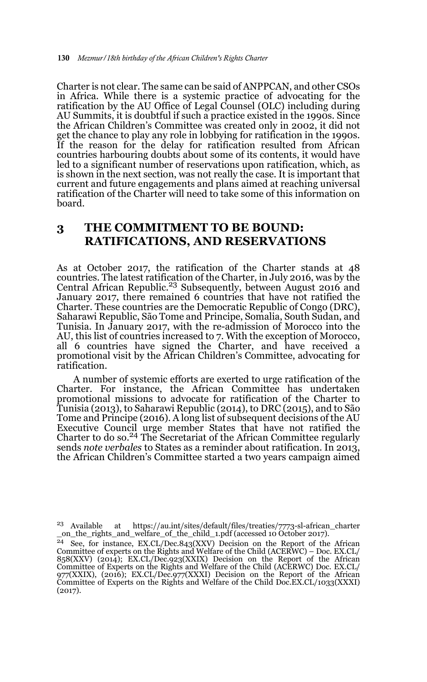Charter is not clear. The same can be said of ANPPCAN, and other CSOs in Africa. While there is a systemic practice of advocating for the ratification by the AU Office of Legal Counsel (OLC) including during AU Summits, it is doubtful if such a practice existed in the 1990s. Since the African Children's Committee was created only in 2002, it did not get the chance to play any role in lobbying for ratification in the 1990s. If the reason for the delay for ratification resulted from African countries harbouring doubts about some of its contents, it would have led to a significant number of reservations upon ratification, which, as is shown in the next section, was not really the case. It is important that current and future engagements and plans aimed at reaching universal ratification of the Charter will need to take some of this information on board.

# **3 THE COMMITMENT TO BE BOUND: RATIFICATIONS, AND RESERVATIONS**

As at October 2017, the ratification of the Charter stands at 48 countries. The latest ratification of the Charter, in July 2016, was by the Central African Republic.<sup>23</sup> Subsequently, between August 2016 and January 2017, there remained 6 countries that have not ratified the Charter. These countries are the Democratic Republic of Congo (DRC), Saharawi Republic, São Tome and Principe, Somalia, South Sudan, and Tunisia. In January 2017, with the re-admission of Morocco into the AU, this list of countries increased to 7. With the exception of Morocco, all 6 countries have signed the Charter, and have received a promotional visit by the African Children's Committee, advocating for ratification.

A number of systemic efforts are exerted to urge ratification of the Charter. For instance, the African Committee has undertaken promotional missions to advocate for ratification of the Charter to Tunisia (2013), to Saharawi Republic (2014), to DRC (2015), and to São Tome and Principe (2016). A long list of subsequent decisions of the AU Executive Council urge member States that have not ratified the Charter to do so.24 The Secretariat of the African Committee regularly sends *note verbales* to States as a reminder about ratification. In 2013, the African Children's Committee started a two years campaign aimed

<sup>23</sup> Available at https://au.int/sites/default/files/treaties/7773-sl-african\_charter \_on\_the\_rights\_and\_welfare\_of\_the\_child\_1.pdf (accessed 10 October 2017).

<sup>&</sup>lt;sup>24</sup> See, for instance, EX.CL/Dec.843(XXV) Decision on the Report of the African Committee of experts on the Rights and Welfare of the Child (ACERWC) – Doc. EX.CL/ 858(XXV) (2014); EX.CL/Dec.923(XXIX) Decision on the Report of the African Committee of Experts on the Rights and Welfare of the Child (ACERWC) Doc. EX.CL/ 977(XXIX), (2016); EX.CL/Dec.977(XXXI) Decision on the Report of the African Committee of Experts on the Rights and Welfare of the Child Doc.EX.CL/1033(XXXI) (2017).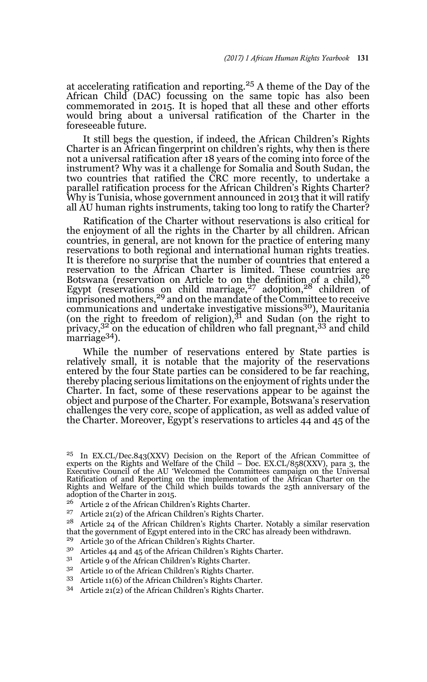at accelerating ratification and reporting.25 A theme of the Day of the African Child (DAC) focussing on the same topic has also been commemorated in 2015. It is hoped that all these and other efforts would bring about a universal ratification of the Charter in the foreseeable future.

It still begs the question, if indeed, the African Children's Rights Charter is an African fingerprint on children's rights, why then is there not a universal ratification after 18 years of the coming into force of the instrument? Why was it a challenge for Somalia and South Sudan, the two countries that ratified the CRC more recently, to undertake a parallel ratification process for the African Children's Rights Charter? Why is Tunisia, whose government announced in 2013 that it will ratify all AU human rights instruments, taking too long to ratify the Charter?

Ratification of the Charter without reservations is also critical for the enjoyment of all the rights in the Charter by all children. African countries, in general, are not known for the practice of entering many reservations to both regional and international human rights treaties. It is therefore no surprise that the number of countries that entered a reservation to the African Charter is limited. These countries are Botswana (reservation on Article to on the definition of a child),  $26$ Egypt (reservations on child marriage,  $27$  adoption,  $28$  children of imprisoned mothers,<sup>29</sup> and on the mandate of the Committee to receive migravation memory, and on the manage of the communications and undertake investigative missions<sup>30</sup>), Mauritania (on the right to freedom of religion), $3<sup>1</sup>$  and Sudan (on the right to privacy, $3^2$  on the education of children who fall pregnant,  $33$  and child marriage<sup>34</sup>).

While the number of reservations entered by State parties is relatively small, it is notable that the majority of the reservations entered by the four State parties can be considered to be far reaching, thereby placing serious limitations on the enjoyment of rights under the Charter. In fact, some of these reservations appear to be against the object and purpose of the Charter. For example, Botswana's reservation challenges the very core, scope of application, as well as added value of the Charter. Moreover, Egypt's reservations to articles 44 and 45 of the

- <sup>26</sup> Article 2 of the African Children's Rights Charter.<br><sup>27</sup> Article 21(2) of the African Children's Rights Char
- <sup>27</sup> Article 21(2) of the African Children's Rights Charter.<br> $\frac{28}{\pi}$  Article 24 of the African Children's Rights Charter.
- <sup>28</sup> Article 24 of the African Children's Rights Charter. Notably a similar reservation that the government of Egypt entered into in the CRC has already been withdrawn.
- <sup>29</sup> Article 30 of the African Children's Rights Charter.
- <sup>30</sup> Articles 44 and 45 of the African Children's Rights Charter.<br> $3^1$  Article 9 of the African Children's Rights Charter.
- <sup>31</sup> Article 9 of the African Children's Rights Charter.<br> $3^2$  Article 10 of the African Children's Rights Charter.
- Article 10 of the African Children's Rights Charter.
- <sup>33</sup> Article 11(6) of the African Children's Rights Charter.
- <sup>34</sup> Article 21(2) of the African Children's Rights Charter.

<sup>&</sup>lt;sup>25</sup> In EX.CL/Dec.843(XXV) Decision on the Report of the African Committee of experts on the Rights and Welfare of the Child – Doc. EX.CL/858(XXV), para 3, the Executive Council of the AU 'Welcomed the Committees campaign on the Universal Ratification of and Reporting on the implementation of the African Charter on the Rights and Welfare of the Child which builds towards the 25th anniversary of the adoption of the Charter in 2015.<br><sup>26</sup> Article 8 of the African Chile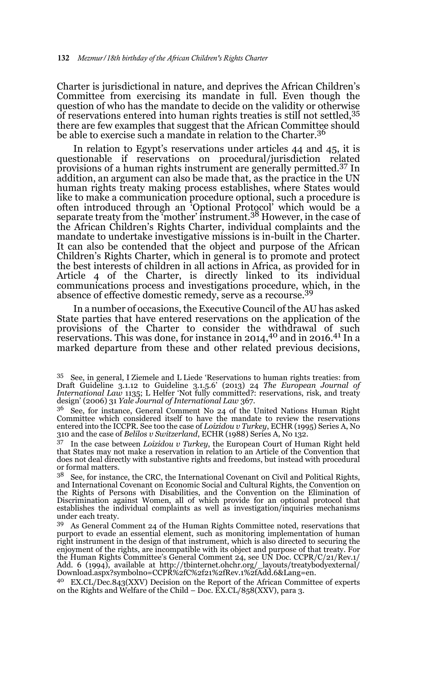Charter is jurisdictional in nature, and deprives the African Children's Committee from exercising its mandate in full. Even though the question of who has the mandate to decide on the validity or otherwise of reservations entered into human rights treaties is still not settled,35 there are few examples that suggest that the African Committee should be able to exercise such a mandate in relation to the Charter.<sup>36</sup>

In relation to Egypt's reservations under articles 44 and 45, it is questionable if reservations on procedural/jurisdiction related provisions of a human rights instrument are generally permitted.37 In addition, an argument can also be made that, as the practice in the UN human rights treaty making process establishes, where States would like to make a communication procedure optional, such a procedure is often introduced through an 'Optional Protocol' which would be a<br>separate treaty from the 'mother' instrument.<sup>38</sup> However, in the case of the African Children's Rights Charter, individual complaints and the mandate to undertake investigative missions is in-built in the Charter. It can also be contended that the object and purpose of the African Children's Rights Charter, which in general is to promote and protect the best interests of children in all actions in Africa, as provided for in Article 4 of the Charter, is directly linked to its individual communications process and investigations procedure, which, in the absence of effective domestic remedy, serve as a recourse.39

In a number of occasions, the Executive Council of the AU has asked State parties that have entered reservations on the application of the provisions of the Charter to consider the withdrawal of such reservations. This was done, for instance in 2014,40 and in 2016.41 In a marked departure from these and other related previous decisions,

<sup>35</sup> See, in general, I Ziemele and L Liede 'Reservations to human rights treaties: from Draft Guideline 3.1.12 to Guideline 3.1.5.6' (2013) 24 *The European Journal of International Law* 1135; L Helfer 'Not fully committed?: reservations, risk, and treaty design' (2006) 31 *Yale Journal of International Law* 367.

<sup>36</sup> See, for instance, General Comment No 24 of the United Nations Human Right Committee which considered itself to have the mandate to review the reservations entered into the ICCPR. See too the case of *Loizidou v Turkey*, ECHR (1995) Series A, No 310 and the case of *Belilos v Switzerland*, ECHR (1988) Series A, No 132.

<sup>37</sup> In the case between *Loizidou v Turkey*, the European Court of Human Right held that States may not make a reservation in relation to an Article of the Convention that does not deal directly with substantive rights and freedoms, but instead with procedural or formal matters.<br> $3^8$  See for instant

<sup>38</sup> See, for instance, the CRC, the International Covenant on Civil and Political Rights, and International Covenant on Economic Social and Cultural Rights, the Convention on the Rights of Persons with Disabilities, and the Convention on the Elimination of Discrimination against Women, all of which provide for an optional protocol that establishes the individual complaints as well as investigation/inquiries mechanisms under each treaty.

<sup>39</sup> As General Comment 24 of the Human Rights Committee noted, reservations that purport to evade an essential element, such as monitoring implementation of human right instrument in the design of that instrument, which is also directed to securing the enjoyment of the rights, are incompatible with its object and purpose of that treaty. For the Human Rights Committee's General Comment 24, see UN Doc. CCPR/C/21/Rev.1/ Add. 6 (1994), available at http://tbinternet.ohchr.org/\_layouts/treatybodyexternal/ Download.aspx?symbolno=CCPR%2fC%2f21%2fRev.1%2fAdd.6&Lang=en.

<sup>40</sup> EX.CL/Dec.843(XXV) Decision on the Report of the African Committee of experts on the Rights and Welfare of the Child – Doc. EX.CL/858(XXV), para 3.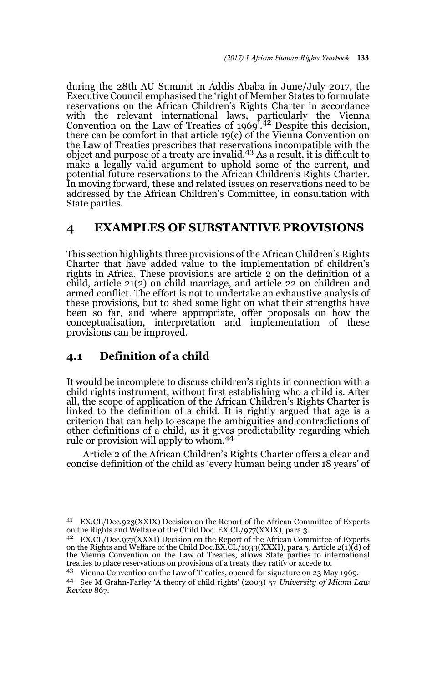during the 28th AU Summit in Addis Ababa in June/July 2017, the Executive Council emphasised the 'right of Member States to formulate reservations on the African Children's Rights Charter in accordance with the relevant international laws, particularly the Vienna<br>Convention on the Law of Treaties of 1969<sup>'</sup>.<sup>42</sup> Despite this decision, there can be comfort in that article 19(c) of the Vienna Convention on the Law of Treaties prescribes that reservations incompatible with the object and purpose of a treaty are invalid.43 As a result, it is difficult to make a legally valid argument to uphold some of the current, and potential future reservations to the African Children's Rights Charter. In moving forward, these and related issues on reservations need to be addressed by the African Children's Committee, in consultation with State parties.

### **4 EXAMPLES OF SUBSTANTIVE PROVISIONS**

This section highlights three provisions of the African Children's Rights Charter that have added value to the implementation of children's rights in Africa. These provisions are article 2 on the definition of a child, article 21(2) on child marriage, and article 22 on children and armed conflict. The effort is not to undertake an exhaustive analysis of these provisions, but to shed some light on what their strengths have been so far, and where appropriate, offer proposals on how the conceptualisation, interpretation and implementation of these provisions can be improved.

### **4.1 Definition of a child**

It would be incomplete to discuss children's rights in connection with a child rights instrument, without first establishing who a child is. After all, the scope of application of the African Children's Rights Charter is linked to the definition of a child. It is rightly argued that age is a criterion that can help to escape the ambiguities and contradictions of other definitions of a child, as it gives predictability regarding which rule or provision will apply to whom.<sup>44</sup>

Article 2 of the African Children's Rights Charter offers a clear and concise definition of the child as 'every human being under 18 years' of

<sup>41</sup> EX.CL/Dec.923(XXIX) Decision on the Report of the African Committee of Experts on the Rights and Welfare of the Child Doc. EX.CL/977(XXIX), para 3.

<sup>42</sup> EX.CL/Dec.977(XXXI) Decision on the Report of the African Committee of Experts on the Rights and Welfare of the Child Doc.EX.CL/1033(XXXI), para 5. Article 2(1)(d) of the Vienna Convention on the Law of Treaties, allows State parties to international treaties to place reservations on provisions of a treaty they ratify or accede to.

<sup>43</sup> Vienna Convention on the Law of Treaties, opened for signature on 23 May 1969.

<sup>44</sup> See M Grahn-Farley 'A theory of child rights' (2003) 57 *University of Miami Law Review* 867.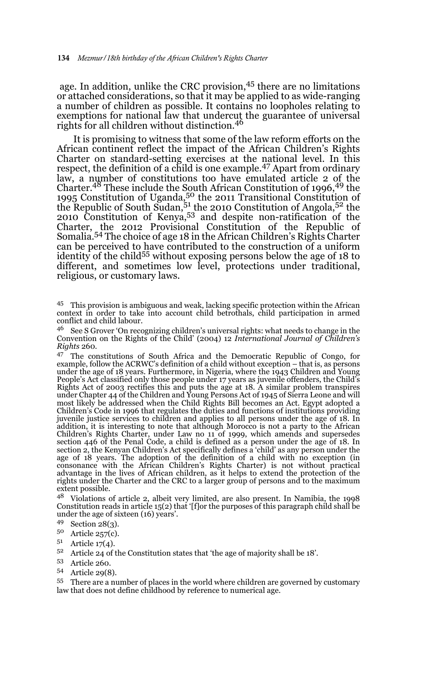age. In addition, unlike the CRC provision,<sup>45</sup> there are no limitations or attached considerations, so that it may be applied to as wide-ranging a number of children as possible. It contains no loopholes relating to exemptions for national law that undercut the guarantee of universal rights for all children without distinction.<sup>46</sup>

It is promising to witness that some of the law reform efforts on the African continent reflect the impact of the African Children's Rights Charter on standard-setting exercises at the national level. In this respect, the definition of a child is one example.47 Apart from ordinary law, a number of constitutions too have emulated article 2 of the Charter.<sup>48</sup> These include the South African Constitution of 1996,<sup>49</sup> the 1995 Constitution of Uganda,<sup>50</sup> the 2011 Transitional Constitution of the Republic of South Sudan, $5<sup>1</sup>$  the 2010 Constitution of Angola, $5<sup>2</sup>$  the 2010 Constitution of Kenya,<sup>53</sup> and despite non-ratification of the Charter, the 2012 Provisional Constitution of the Republic of Somalia.54 The choice of age 18 in the African Children's Rights Charter can be perceived to have contributed to the construction of a uniform identity of the child55 without exposing persons below the age of 18 to different, and sometimes low level, protections under traditional, religious, or customary laws.

<sup>45</sup> This provision is ambiguous and weak, lacking specific protection within the African context in order to take into account child betrothals, child participation in armed conflict and child labour.

<sup>46</sup> See S Grover 'On recognizing children's universal rights: what needs to change in the Convention on the Rights of the Child' (2004) 12 *International Journal of Children's Rights* 260.

<sup>47</sup> The constitutions of South Africa and the Democratic Republic of Congo, for example, follow the ACRWC's definition of a child without exception – that is, as persons<br>under the age of 18 years. Furthermore, in Nigeria, where the 1943 Children and Young<br>People's Act classified only those people unde Rights Act of 2003 rectifies this and puts the age at 18. A similar problem transpires<br>under Chapter 44 of the Children and Young Persons Act of 1945 of Sierra Leone and will<br>most likely be addressed when the Child Rights Children's Code in 1996 that regulates the duties and functions of institutions providing juvenile justice services to children and applies to all persons under the age of 18. In addition, it is interesting to note that although Morocco is not a party to the African Children's Rights Charter, under Law no 11 of 1999, which amends and supersedes section 446 of the Penal Code, a child is defined as a person under the age of 18. In section 2, the Kenyan Children's Act specifically defines a 'child' as any person under the age of 18 years. The adoption of the definition of a child with no exception (in consonance with the African Children's Rights Charter) is not without practical advantage in the lives of African children, as it helps to extend the protection of the rights under the Charter and the CRC to a larger group of persons and to the maximum extent possible.

<sup>48</sup> Violations of article 2, albeit very limited, are also present. In Namibia, the 1998 Constitution reads in article 15(2) that '[f]or the purposes of this paragraph child shall be under the age of sixteen (16) years'.

- <sup>49</sup> Section 28(3).
- $^{50}$  Article 257(c).<br>  $^{51}$  Article 17(4)
- $5^1$  Article 17(4).
- <sup>52</sup> Article 24 of the Constitution states that 'the age of majority shall be 18'.
- <sup>53</sup> Article 260.
- <sup>54</sup> Article 29(8).

<sup>55</sup> There are a number of places in the world where children are governed by customary law that does not define childhood by reference to numerical age.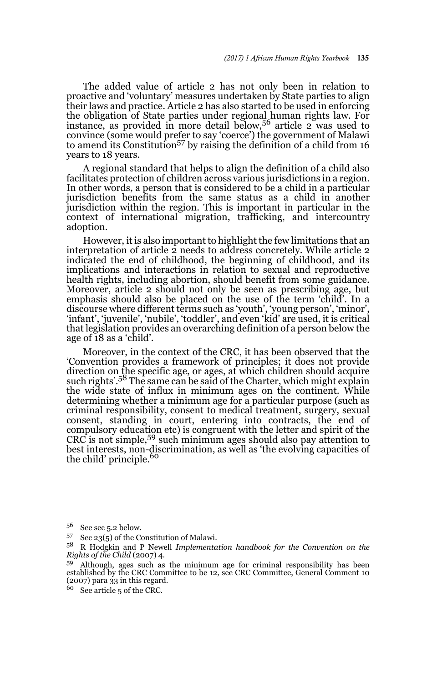The added value of article 2 has not only been in relation to proactive and 'voluntary' measures undertaken by State parties to align their laws and practice. Article 2 has also started to be used in enforcing the obligation of State parties under regional human rights law. For instance, as provided in more detail below,  $5<sup>6</sup>$  article 2 was used to convince (some would prefer to say 'coerce') the government of Malawi<br>to amend its Constitution<sup>57</sup> by raising the definition of a child from 16 years to 18 years.

A regional standard that helps to align the definition of a child also facilitates protection of children across various jurisdictions in a region. In other words, a person that is considered to be a child in a particular jurisdiction benefits from the same status as a child in another jurisdiction within the region. This is important in particular in the context of international migration, trafficking, and intercountry adoption.

However, it is also important to highlight the few limitations that an interpretation of article 2 needs to address concretely. While article 2 indicated the end of childhood, the beginning of childhood, and its implications and interactions in relation to sexual and reproductive health rights, including abortion, should benefit from some guidance. Moreover, article 2 should not only be seen as prescribing age, but emphasis should also be placed on the use of the term 'child'. In a discourse where different terms such as 'youth', 'young person', 'minor', 'infant', 'juvenile', 'nubile', 'toddler', and even 'kid' are used, it is critical that legislation provides an overarching definition of a person below the age of 18 as a 'child'.

Moreover, in the context of the CRC, it has been observed that the 'Convention provides a framework of principles; it does not provide direction on the specific age, or ages, at which children should acquire<br>such rights'.<sup>58</sup> The same can be said of the Charter, which might explain the wide state of influx in minimum ages on the continent. While determining whether a minimum age for a particular purpose (such as criminal responsibility, consent to medical treatment, surgery, sexual consent, standing in court, entering into contracts, the end of compulsory education etc) is congruent with the letter and spirit of the CRC is not simple,59 such minimum ages should also pay attention to best interests, non-discrimination, as well as 'the evolving capacities of the child' principle.<sup>60</sup>

 $5^6$  See sec 5.2 below.<br> $5^7$  See 99(5) of the Co

Sec  $23(5)$  of the Constitution of Malawi.

<sup>58</sup> R Hodgkin and P Newell *Implementation handbook for the Convention on the Rights of the Child* (2007) 4.

 $59$  Although, ages such as the minimum age for criminal responsibility has been established by the CRC Committee to be 12, see CRC Committee, General Comment 10  $(2007)$  para  $33$  in this regard.

<sup>60</sup> See article 5 of the CRC.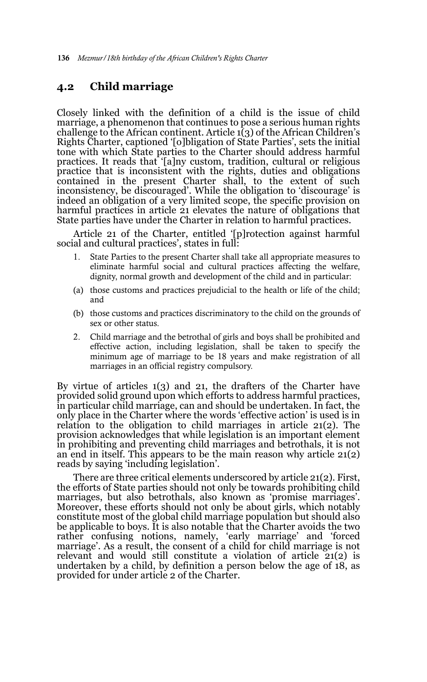# **4.2 Child marriage**

Closely linked with the definition of a child is the issue of child marriage, a phenomenon that continues to pose a serious human rights challenge to the African continent. Article  $\tilde{1}(3)$  of the African Children's Rights Charter, captioned '[o]bligation of State Parties', sets the initial tone with which State parties to the Charter should address harmful practices. It reads that '[a]ny custom, tradition, cultural or religious practice that is inconsistent with the rights, duties and obligations contained in the present Charter shall, to the extent of such inconsistency, be discouraged'. While the obligation to 'discourage' is indeed an obligation of a very limited scope, the specific provision on harmful practices in article 21 elevates the nature of obligations that State parties have under the Charter in relation to harmful practices.

Article 21 of the Charter, entitled '[p]rotection against harmful social and cultural practices', states in full:

- 1. State Parties to the present Charter shall take all appropriate measures to eliminate harmful social and cultural practices affecting the welfare, dignity, normal growth and development of the child and in particular:
- (a) those customs and practices prejudicial to the health or life of the child; and
- (b) those customs and practices discriminatory to the child on the grounds of sex or other status.
- 2. Child marriage and the betrothal of girls and boys shall be prohibited and effective action, including legislation, shall be taken to specify the minimum age of marriage to be 18 years and make registration of all marriages in an official registry compulsory.

By virtue of articles 1(3) and 21, the drafters of the Charter have provided solid ground upon which efforts to address harmful practices, in particular child marriage, can and should be undertaken. In fact, the only place in the Charter where the words 'effective action' is used is in relation to the obligation to child marriages in article 21(2). The provision acknowledges that while legislation is an important element in prohibiting and preventing child marriages and betrothals, it is not an end in itself. This appears to be the main reason why article 21(2) reads by saying 'including legislation'.

There are three critical elements underscored by article 21(2). First, the efforts of State parties should not only be towards prohibiting child marriages, but also betrothals, also known as 'promise marriages'. Moreover, these efforts should not only be about girls, which notably constitute most of the global child marriage population but should also be applicable to boys. It is also notable that the Charter avoids the two rather confusing notions, namely, 'early marriage' and 'forced marriage'. As a result, the consent of a child for child marriage is not relevant and would still constitute a violation of article 21(2) is undertaken by a child, by definition a person below the age of 18, as provided for under article 2 of the Charter.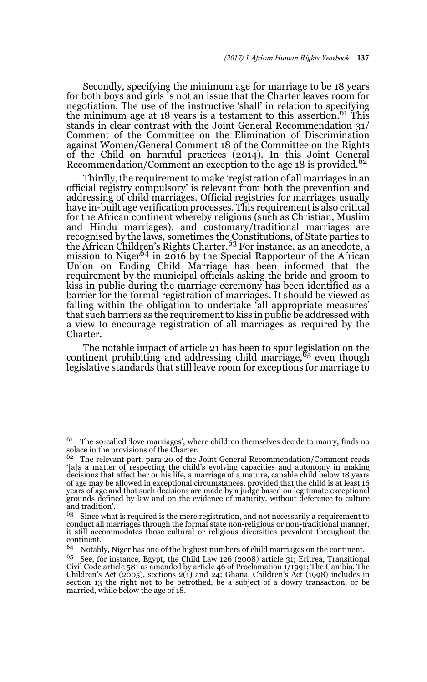Secondly, specifying the minimum age for marriage to be 18 years for both boys and girls is not an issue that the Charter leaves room for negotiation. The use of the instructive 'shall' in relation to specifying the minimum age at 18 years is a testament to this assertion.<sup>61</sup> This stands in clear contrast with the Joint General Recommendation 31/ Comment of the Committee on the Elimination of Discrimination against Women/General Comment 18 of the Committee on the Rights of the Child on harmful practices (2014). In this Joint General Recommendation/Comment an exception to the age 18 is provided.<sup>62</sup>

Thirdly, the requirement to make 'registration of all marriages in an official registry compulsory' is relevant from both the prevention and addressing of child marriages. Official registries for marriages usually have in-built age verification processes. This requirement is also critical for the African continent whereby religious (such as Christian, Muslim and Hindu marriages), and customary/traditional marriages are recognised by the laws, sometimes the Constitutions, of State parties to the African Children's Rights Charter.<sup>63</sup> For instance, as an anecdote, a mission to Niger<sup>64</sup> in 2016 by the Special Rapporteur of the African Union on Ending Child Marriage has been informed that the requirement by the municipal officials asking the bride and groom to kiss in public during the marriage ceremony has been identified as a barrier for the formal registration of marriages. It should be viewed as falling within the obligation to undertake 'all appropriate measures' that such barriers as the requirement to kiss in public be addressed with a view to encourage registration of all marriages as required by the Charter.

The notable impact of article 21 has been to spur legislation on the continent prohibiting and addressing child marriage,  $65$  even though legislative standards that still leave room for exceptions for marriage to

 $61$  The so-called 'love marriages', where children themselves decide to marry, finds no solace in the provisions of the Charter.

<sup>&</sup>lt;sup>62</sup> The relevant part, para 20 of the Joint General Recommendation/Comment reads '[a]s a matter of respecting the child's evolving capacities and autonomy in making decisions that affect her or his life, a marriage of a mature, capable child below 18 years of age may be allowed in exceptional circumstances, provided that the child is at least 16 years of age and that such decisions are made by a judge based on legitimate exceptional grounds defined by law and on the evidence of maturity, without deference to culture and tradition'.

 $63$  Since what is required is the mere registration, and not necessarily a requirement to conduct all marriages through the formal state non-religious or non-traditional manner, it still accommodates those cultural or religious diversities prevalent throughout the continent.

<sup>64</sup> Notably, Niger has one of the highest numbers of child marriages on the continent.

<sup>&</sup>lt;sup>65</sup> See, for instance, Egypt, the Child Law 126 (2008) article 31; Eritrea, Transitional Civil Code article 581 as amended by article 46 of Proclamation 1/1991; The Gambia, The Children's Act (2005), sections  $2(i)$  and  $24$ ; Ghana, Children's Act (1998) includes in section 13 the right not to be betrothed, be a subject of a dowry transaction, or be married, while below the age of 18.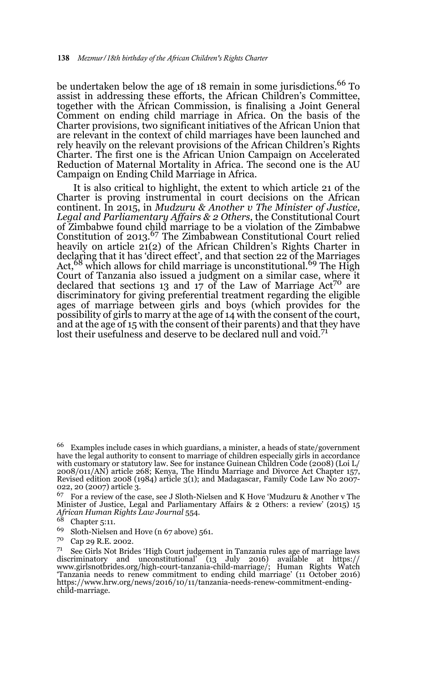be undertaken below the age of 18 remain in some jurisdictions.<sup>66</sup> To assist in addressing these efforts, the African Children's Committee, together with the African Commission, is finalising a Joint General Comment on ending child marriage in Africa. On the basis of the Charter provisions, two significant initiatives of the African Union that are relevant in the context of child marriages have been launched and rely heavily on the relevant provisions of the African Children's Rights Charter. The first one is the African Union Campaign on Accelerated Reduction of Maternal Mortality in Africa. The second one is the AU Campaign on Ending Child Marriage in Africa.

It is also critical to highlight, the extent to which article 21 of the Charter is proving instrumental in court decisions on the African continent. In 2015, in *Mudzuru & Another v The Minister of Justice, Legal and Parliamentary Affairs & 2 Others*, the Constitutional Court of Zimbabwe found child marriage to be a violation of the Zimbabwe Constitution of 2013.67 The Zimbabwean Constitutional Court relied heavily on article 21(2) of the African Children's Rights Charter in declaring that it has 'direct effect', and that section 22 of the Marriages Act,<sup>68</sup> which allows for child marriage is unconstitutional.<sup>69</sup> The High Court of Tanzania also issued a judgment on a similar case, where it declared that sections 13 and 17 of the Law of Marriage  $Act^{70}$  are discriminatory for giving preferential treatment regarding the eligible ages of marriage between girls and boys (which provides for the possibility of girls to marry at the age of 14 with the consent of the court, and at the age of 15 with the consent of their parents) and that they have lost their usefulness and deserve to be declared null and void.<sup>71</sup>

<sup>67</sup> For a review of the case, see J Sloth-Nielsen and K Hove 'Mudzuru & Another v The Minister of Justice, Legal and Parliamentary Affairs & 2 Others: a review' (2015) 15 *African Human Rights Law Journal* 554.

 $66$  Examples include cases in which guardians, a minister, a heads of state/government have the legal authority to consent to marriage of children especially girls in accordance with customary or statutory law. See for instance Guinean Children Code (2008) (Loi L/ 2008/011/AN) article 268; Kenya, The Hindu Marriage and Divorce Act Chapter 157, Revised edition 2008 (1984) article 3(1); and Madagascar, Family Code Law No 2007- 022, 20 (2007) article 3.<br><sup>67</sup> For a review of the a

Chapter 5:11.

<sup>&</sup>lt;sup>69</sup> Sloth-Nielsen and Hove (n 67 above) 561.<br> $^{79}$  Cap 20 B E 2009.

Cap 29 R.E. 2002.

<sup>71</sup> See Girls Not Brides 'High Court judgement in Tanzania rules age of marriage laws discriminatory and unconstitutional' (13 July 2016) available at https:// www.girlsnotbrides.org/high-court-tanzania-child-marriage/; Human Rights Watch 'Tanzania needs to renew commitment to ending child marriage' (11 October 2016) https://www.hrw.org/news/2016/10/11/tanzania-needs-renew-commitment-endingchild-marriage.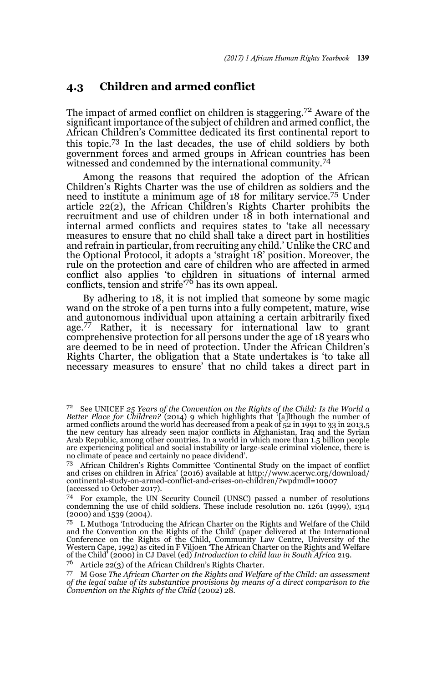#### **4.3 Children and armed conflict**

The impact of armed conflict on children is staggering.72 Aware of the significant importance of the subject of children and armed conflict, the African Children's Committee dedicated its first continental report to this topic.73 In the last decades, the use of child soldiers by both government forces and armed groups in African countries has been witnessed and condemned by the international community.<sup>74</sup>

Among the reasons that required the adoption of the African Children's Rights Charter was the use of children as soldiers and the need to institute a minimum age of 18 for military service.75 Under article 22(2), the African Children's Rights Charter prohibits the recruitment and use of children under  $18$  in both international and internal armed conflicts and requires states to 'take all necessary measures to ensure that no child shall take a direct part in hostilities and refrain in particular, from recruiting any child.' Unlike the CRC and the Optional Protocol, it adopts a 'straight 18' position. Moreover, the rule on the protection and care of children who are affected in armed conflict also applies 'to children in situations of internal armed conflicts, tension and strife'76 has its own appeal.

By adhering to 18, it is not implied that someone by some magic wand on the stroke of a pen turns into a fully competent, mature, wise and autonomous individual upon attaining a certain arbitrarily fixed age.<sup>77</sup> Rather, it is necessary for international law to grant comprehensive protection for all persons under the age of 18 years who are deemed to be in need of protection. Under the African Children's Rights Charter, the obligation that a State undertakes is 'to take all necessary measures to ensure' that no child takes a direct part in

<sup>76</sup> Article 22(3) of the African Children's Rights Charter.

<sup>77</sup> M Gose *The African Charter on the Rights and Welfare of the Child: an assessment of the legal value of its substantive provisions by means of a direct comparison to the Convention on the Rights of the Child* (2002) 28.

<sup>72</sup> See UNICEF *25 Years of the Convention on the Rights of the Child: Is the World a Better Place for Children?* (2014) 9 which highlights that '[a]lthough the number of armed conflicts around the world has decreased from a peak of 52 in 1991 to 33 in 2013,5 the new century has already seen major conflicts in Afghanistan, Iraq and the Syrian Arab Republic, among other countries. In a world in which more than 1.5 billion people are experiencing political and social instability or large-scale criminal violence, there is no climate of peace and certainly no peace dividend'.

<sup>73</sup> African Children's Rights Committee 'Continental Study on the impact of conflict and crises on children in Africa' (2016) available at http://www.acerwc.org/download/ continental-study-on-armed-conflict-and-crises-on-children/?wpdmdl=10007 (accessed 10 October 2017).

<sup>74</sup> For example, the UN Security Council (UNSC) passed a number of resolutions condemning the use of child soldiers. These include resolution no. 1261 (1999), 1314 (2000) and 1539 (2004).

<sup>75</sup> L Muthoga 'Introducing the African Charter on the Rights and Welfare of the Child and the Convention on the Rights of the Child' (paper delivered at the International Conference on the Rights of the Child, Community Law Centre, University of the Western Cape, 1992) as cited in F Viljoen 'The African Charter on the Rights and Welfare of the Child' (2000) in CJ Davel (ed) *Introduction to child law in South Africa* 219.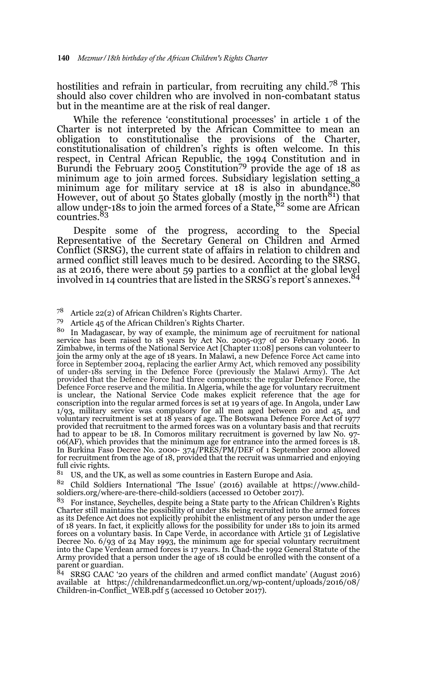hostilities and refrain in particular, from recruiting any child.78 This should also cover children who are involved in non-combatant status but in the meantime are at the risk of real danger.

While the reference 'constitutional processes' in article 1 of the Charter is not interpreted by the African Committee to mean an obligation to constitutionalise the provisions of the Charter, constitutionalisation of children's rights is often welcome. In this respect, in Central African Republic, the 1994 Constitution and in<br>Burundi the February 2005 Constitution<sup>79</sup> provide the age of 18 as minimum age to join armed forces. Subsidiary legislation setting a<br>minimum age for military service at 18 is also in abundance.<sup>80</sup> However, out of about 50 States globally (mostly in the north $^{81}$ ) that allow under-18s to join the armed forces of a State,  $8<sup>2</sup>$  some are African countries.<sup>83</sup>

Despite some of the progress, according to the Special Representative of the Secretary General on Children and Armed Conflict (SRSG), the current state of affairs in relation to children and armed conflict still leaves much to be desired. According to the SRSG, as at 2016, there were about 59 parties to a conflict at the global level involved in 14 countries that are listed in the SRSG's report's annexes.<sup>84</sup>

In Madagascar, by way of example, the minimum age of recruitment for national service has been raised to 18 years by Act No. 2005-037 of 20 February 2006. In<br>Zimbabwe, in terms of the National Service Act [Chapter 11:08] persons can volunteer to<br>join the army only at the age of 18 years. In Malawi, force in September 2004, replacing the earlier Army Act, which removed any possibility<br>of under-18s serving in the Defence Force (previously the Malawi Army). The Act<br>provided that the Defence Force had three components: t Defence Force reserve and the militia. In Algeria, while the age for voluntary recruitment is unclear, the National Service Code makes explicit reference that the age for conscription into the regular armed forces is set at 19 years of age. In Angola, under Law 1/93, military service was compulsory for all men aged between 20 and 45, and voluntary recruitment is set at 18 years of age. The Botswana Defence Force Act of 1977 provided that recruitment to the armed forces was on a voluntary basis and that recruits had to appear to be 18. In Comoros military recruitment is governed by law No. 97- 06(AF), which provides that the minimum age for entrance into the armed forces is 18. In Burkina Faso Decree No. 2000- 374/PRES/PM/DEF of 1 September 2000 allowed for recruitment from the age of 18, provided that the recruit was unmarried and enjoying full civic rights.

 $81$  US, and the UK, as well as some countries in Eastern Europe and Asia.

<sup>82</sup> Child Soldiers International 'The Issue' (2016) available at https://www.childsoldiers.org/where-are-there-child-soldiers (accessed 10 October 2017).

<sup>83</sup> For instance, Seychelles, despite being a State party to the African Children's Rights Charter still maintains the possibility of under 18s being recruited into the armed forces as its Defence Act does not explicitly prohibit the enlistment of any person under the age of 18 years. In fact, it explicitly allows for the possibility for under 18s to join its armed forces on a voluntary basis. In Cape Verde, in accordance with Article 31 of Legislative Decree No. 6/93 of 24 May 1993, the minimum age for special voluntary recruitment into the Cape Verdean armed forces is 17 years. In Chad-the 1992 General Statute of the Army provided that a person under the age of 18 could be enrolled with the consent of a parent or guardian.

 $84$  SRSG CAAC '20 years of the children and armed conflict mandate' (August 2016) available at https://childrenandarmedconflict.un.org/wp-content/uploads/2016/08/ Children-in-Conflict\_WEB.pdf 5 (accessed 10 October 2017).

<sup>&</sup>lt;sup>78</sup> Article 22(2) of African Children's Rights Charter.<br> $^{79}$  Article 45 of the African Children's Rights Charter.

<sup>79</sup> Article 45 of the African Children's Rights Charter.<br> $\frac{80}{n}$  In Madagascar, by way of example, the minimum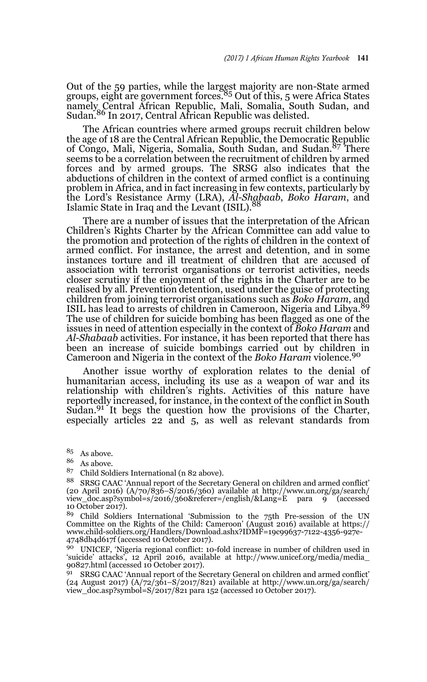Out of the 59 parties, while the largest majority are non-State armed<br>groups, eight are government forces.<sup>85</sup> Out of this, 5 were Africa States namely Central African Republic, Mali, Somalia, South Sudan, and Sudan.86 In 2017, Central African Republic was delisted.

The African countries where armed groups recruit children below the age of 18 are the Central African Republic, the Democratic Republic of Congo, Mali, Nigeria, Somalia, South Sudan, and Sudan.87 There seems to be a correlation between the recruitment of children by armed forces and by armed groups. The SRSG also indicates that the abductions of children in the context of armed conflict is a continuing problem in Africa, and in fact increasing in few contexts, particularly by the Lord's Resistance Army (LRA), *Al-Shabaab*, *Boko Haram*, and Islamic State in Iraq and the Levant (ISIL).

There are a number of issues that the interpretation of the African Children's Rights Charter by the African Committee can add value to the promotion and protection of the rights of children in the context of armed conflict. For instance, the arrest and detention, and in some instances torture and ill treatment of children that are accused of association with terrorist organisations or terrorist activities, needs closer scrutiny if the enjoyment of the rights in the Charter are to be realised by all. Prevention detention, used under the guise of protecting children from joining terrorist organisations such as *Boko Haram*, and ISIL has lead to arrests of children in Cameroon, Nigeria and Libya.<sup>89</sup> The use of children for suicide bombing has been flagged as one of the issues in need of attention especially in the context of *Boko Haram* and *Al-Shabaab* activities. For instance, it has been reported that there has been an increase of suicide bombings carried out by children in Cameroon and Nigeria in the context of the *Boko Haram* violence.90

Another issue worthy of exploration relates to the denial of humanitarian access, including its use as a weapon of war and its relationship with children's rights. Activities of this nature have reportedly increased, for instance, in the context of the conflict in South Sudan. $91$  It begs the question how the provisions of the Charter, especially articles 22 and 5, as well as relevant standards from

 $\begin{array}{c} 85 \\ 86 \end{array}$  As above.

 $\frac{86}{87}$  As above.

<sup>87</sup> Child Soldiers International (n 82 above).

88 SRSG CAAC 'Annual report of the Secretary General on children and armed conflict' (20 April 2016) (A/70/836–S/2016/360) available at http://www.un.org/ga/search/ view\_doc.asp?symbol=s/2016/360&referer=/english/&Lang=E para 9 (accessed 10 October 2017).

<sup>89</sup> Child Soldiers International 'Submission to the 75th Pre-session of the UN Committee on the Rights of the Child: Cameroon' (August 2016) available at https:// www.child-soldiers.org/Handlers/Download.ashx?IDMF=19c99637-7122-4356-927e-4748db4d617f (accessed 10 October 2017).

<sup>90</sup> UNICEF, 'Nigeria regional conflict: 10-fold increase in number of children used in 'suicide' attacks', 12 April 2016, available at http://www.unicef.org/media/media\_ 90827.html (accessed 10 October 2017).

91 SRSG CAAC 'Annual report of the Secretary General on children and armed conflict' (24 August 2017) (A/72/361–S/2017/821) available at http://www.un.org/ga/search/ view\_doc.asp?symbol=S/2017/821 para 152 (accessed 10 October 2017).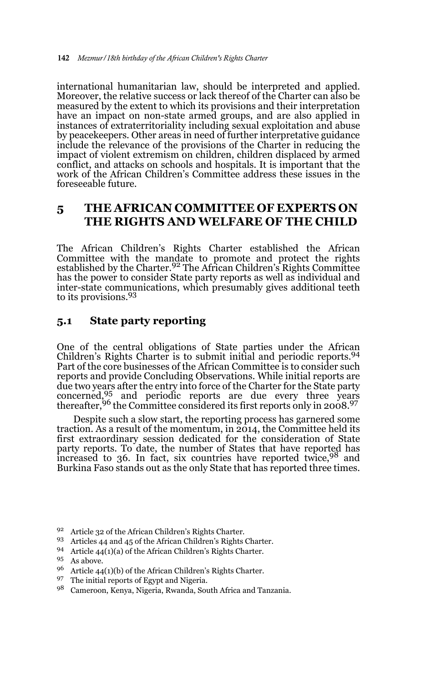international humanitarian law, should be interpreted and applied. Moreover, the relative success or lack thereof of the Charter can also be measured by the extent to which its provisions and their interpretation have an impact on non-state armed groups, and are also applied in instances of extraterritoriality including sexual exploitation and abuse by peacekeepers. Other areas in need of further interpretative guidance include the relevance of the provisions of the Charter in reducing the impact of violent extremism on children, children displaced by armed conflict, and attacks on schools and hospitals. It is important that the work of the African Children's Committee address these issues in the foreseeable future.

# **5 THE AFRICAN COMMITTEE OF EXPERTS ON THE RIGHTS AND WELFARE OF THE CHILD**

The African Children's Rights Charter established the African Committee with the mandate to promote and protect the rights established by the Charter.92 The African Children's Rights Committee has the power to consider State party reports as well as individual and inter-state communications, which presumably gives additional teeth to its provisions.93

### **5.1 State party reporting**

One of the central obligations of State parties under the African Children's Rights Charter is to submit initial and periodic reports.<sup>94</sup> Part of the core businesses of the African Committee is to consider such reports and provide Concluding Observations. While initial reports are due two years after the entry into force of the Charter for the State party concerned, $\frac{95}{2}$  and periodic reports are due every three years thereafter,  $96$  the Committee considered its first reports only in 2008. $97$ 

Despite such a slow start, the reporting process has garnered some traction. As a result of the momentum, in 2014, the Committee held its first extraordinary session dedicated for the consideration of State party reports. To date, the number of States that have reported has increased to 36. In fact, six countries have reported twice,  $98$  and Burkina Faso stands out as the only State that has reported three times.

- <sup>92</sup> Article 32 of the African Children's Rights Charter.
- <sup>93</sup> Articles 44 and 45 of the African Children's Rights Charter.
- <sup>94</sup> Article 44(1)(a) of the African Children's Rights Charter.

- $96$  Article 44(1)(b) of the African Children's Rights Charter.
- 97 The initial reports of Egypt and Nigeria.
- <sup>98</sup> Cameroon, Kenya, Nigeria, Rwanda, South Africa and Tanzania.

<sup>95</sup> As above.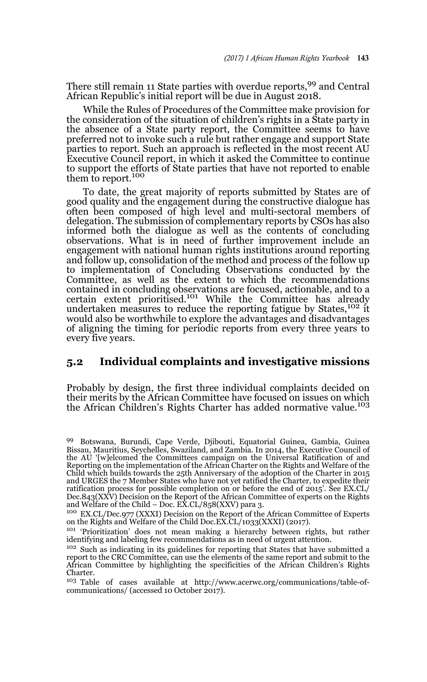There still remain 11 State parties with overdue reports,99 and Central African Republic's initial report will be due in August 2018.

While the Rules of Procedures of the Committee make provision for the consideration of the situation of children's rights in a State party in the absence of a State party report, the Committee seems to have preferred not to invoke such a rule but rather engage and support State parties to report. Such an approach is reflected in the most recent AU Executive Council report, in which it asked the Committee to continue to support the efforts of State parties that have not reported to enable them to report.<sup>100</sup>

To date, the great majority of reports submitted by States are of good quality and the engagement during the constructive dialogue has often been composed of high level and multi-sectoral members of delegation. The submission of complementary reports by CSOs has also informed both the dialogue as well as the contents of concluding observations. What is in need of further improvement include an engagement with national human rights institutions around reporting and follow up, consolidation of the method and process of the follow up to implementation of Concluding Observations conducted by the Committee, as well as the extent to which the recommendations contained in concluding observations are focused, actionable, and to a certain extent prioritised.101 While the Committee has already undertaken measures to reduce the reporting fatigue by States,<sup>102</sup> it would also be worthwhile to explore the advantages and disadvantages of aligning the timing for periodic reports from every three years to every five years.

#### **5.2 Individual complaints and investigative missions**

Probably by design, the first three individual complaints decided on their merits by the African Committee have focused on issues on which the African Children's Rights Charter has added normative value.<sup>103</sup>

<sup>99</sup> Botswana, Burundi, Cape Verde, Djibouti, Equatorial Guinea, Gambia, Guinea Bissau, Mauritius, Seychelles, Swaziland, and Zambia. In 2014, the Executive Council of the AU '[w]elcomed the Committees campaign on the Universal Ratification of and Reporting on the implementation of the African Charter on the Rights and Welfare of the Child which builds towards the 25th Anniversary of the adoption of the Charter in 2015 and URGES the 7 Member States who have not yet ratified the Charter, to expedite their ratification process for possible completion on or before the end of 2015'. See EX.CL/ Dec.843(XXV) Decision on the Report of the African Committee of experts on the Rights and Welfare of the Child – Doc. EX.CL/858(XXV) para 3.

<sup>&</sup>lt;sup>100</sup> EX.CL/Dec.977 (XXXI) Decision on the Report of the African Committee of Experts<br>on the Rights and Welfare of the Child Doc.EX.CL/1033(XXXI) (2017).

<sup>&</sup>lt;sup>101</sup> 'Prioritization' does not mean making a hierarchy between rights, but rather identifying and labeling few recommendations as in need of urgent attention.

 $102$  Such as indicating in its guidelines for reporting that States that have submitted a report to the CRC Committee, can use the elements of the same report and submit to the African Committee by highlighting the specificities of the African Children's Rights Charter.

<sup>103</sup> Table of cases available at http://www.acerwc.org/communications/table-ofcommunications/ (accessed 10 October 2017).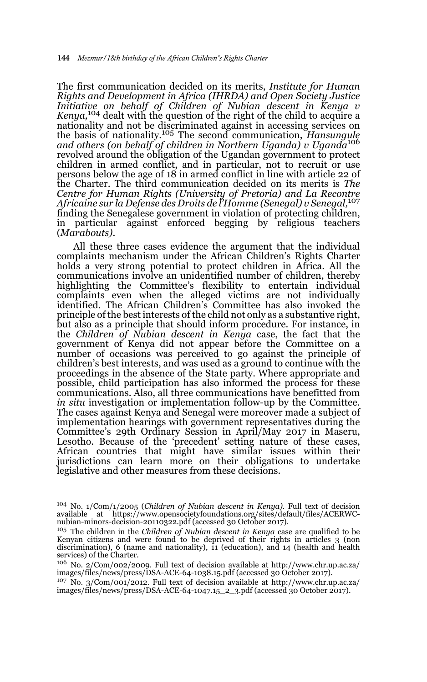The first communication decided on its merits, *Institute for Human Rights and Development in Africa (IHRDA) and Open Society Justice Initiative on behalf of Children of Nubian descent in Kenya v Kenya,*<sup>104</sup> dealt with the question of the right of the child to acquire a nationality and not be discriminated against in accessing services on the basis of nationality.105 The second communication, *Hansungule and others (on behalf of children in Northern Uganda) v Uganda*<sup>106</sup> revolved around the obligation of the Ugandan government to protect children in armed conflict, and in particular, not to recruit or use persons below the age of 18 in armed conflict in line with article 22 of the Charter. The third communication decided on its merits is *The Centre for Human Rights (University of Pretoria) and La Recontre Africaine sur la Defense des Droits de l'Homme (Senegal) v Senegal,*<sup>107</sup> finding the Senegalese government in violation of protecting children, in particular against enforced begging by religious teachers (*Marabouts)*.

All these three cases evidence the argument that the individual complaints mechanism under the African Children's Rights Charter holds a very strong potential to protect children in Africa. All the communications involve an unidentified number of children, thereby highlighting the Committee's flexibility to entertain individual complaints even when the alleged victims are not individually identified. The African Children's Committee has also invoked the principle of the best interests of the child not only as a substantive right, but also as a principle that should inform procedure. For instance, in the *Children of Nubian descent in Kenya* case, the fact that the government of Kenya did not appear before the Committee on a number of occasions was perceived to go against the principle of children's best interests, and was used as a ground to continue with the proceedings in the absence of the State party. Where appropriate and possible, child participation has also informed the process for these communications. Also, all three communications have benefitted from *in situ* investigation or implementation follow-up by the Committee. The cases against Kenya and Senegal were moreover made a subject of implementation hearings with government representatives during the Committee's 29th Ordinary Session in April/May 2017 in Maseru, Lesotho. Because of the 'precedent' setting nature of these cases, African countries that might have similar issues within their jurisdictions can learn more on their obligations to undertake legislative and other measures from these decisions.

<sup>104</sup> No. 1/Com/1/2005 (*Children of Nubian descent in Kenya).* Full text of decision available at https://www.opensocietyfoundations.org/sites/default/files/ACERWC-nubian-minors-decision-20110322.pdf (accessed 30 October 2017).

<sup>105</sup> The children in the *Children of Nubian descent in Kenya* case are qualified to be Kenyan citizens and were found to be deprived of their rights in articles 3 (non discrimination), 6 (name and nationality), 11 (education), and 14 (health and health services) of the Charter.

<sup>106</sup> No. 2/Com/002/2009. Full text of decision available at http://www.chr.up.ac.za/ images/files/news/press/DSA-ACE-64-1038.15.pdf (accessed 30 October 2017).

<sup>107</sup> No. 3/Com/001/2012. Full text of decision available at http://www.chr.up.ac.za/ images/files/news/press/DSA-ACE-64-1047.15\_2\_3.pdf (accessed 30 October 2017).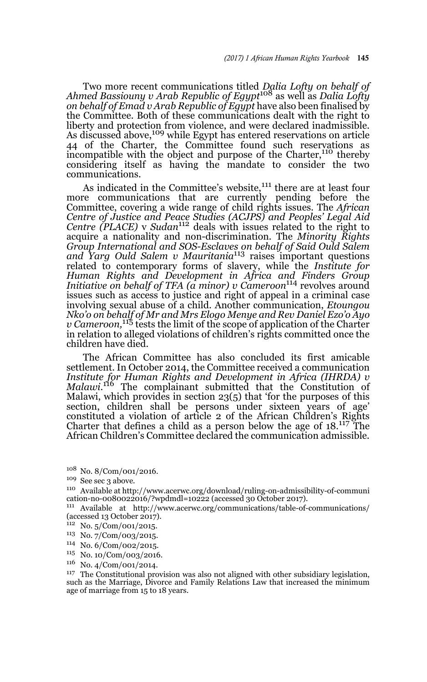Two more recent communications titled *Dalia Lofty on behalf of Ahmed Bassiouny v Arab Republic of Egypt*108 as well as *Dalia Lofty on behalf of Emad v Arab Republic of Egypt* have also been finalised by the Committee. Both of these communications dealt with the right to liberty and protection from violence, and were declared inadmissible. As discussed above,<sup>109</sup> while Egypt has entered reservations on article 44 of the Charter, the Committee found such reservations as incompatible with the object and purpose of the Charter,<sup>110</sup> thereby considering itself as having the mandate to consider the two communications.

As indicated in the Committee's website,<sup>111</sup> there are at least four more communications that are currently pending before the Committee, covering a wide range of child rights issues. The *African Centre of Justice and Peace Studies (ACJPS) and Peoples' Legal Aid Centre (PLACE)* v *Sudan*112 deals with issues related to the right to acquire a nationality and non-discrimination. The *Minority Rights Group International and SOS-Esclaves on behalf of Said Ould Salem and Yarg Ould Salem v Mauritania*113 raises important questions related to contemporary forms of slavery, while the *Institute for Human Rights and Development in Africa and Finders Group Initiative on behalf of TFA (a minor) v Cameroon*<sup>114</sup> revolves around issues such as access to justice and right of appeal in a criminal case involving sexual abuse of a child. Another communication, *Etoungou Nko'o on behalf of Mr and Mrs Elogo Menye and Rev Daniel Ezo'o Ayo v Cameroon,*115 tests the limit of the scope of application of the Charter in relation to alleged violations of children's rights committed once the children have died.

The African Committee has also concluded its first amicable settlement. In October 2014, the Committee received a communication *Institute for Human Rights and Development in Africa (IHRDA) v Malawi*. 116 The complainant submitted that the Constitution of Malawi, which provides in section 23(5) that 'for the purposes of this section, children shall be persons under sixteen years of age' constituted a violation of article 2 of the African Children's Rights Charter that defines a child as a person below the age of 18.117 The African Children's Committee declared the communication admissible.

- <sup>112</sup> No. 5/Com/001/2015.
- <sup>113</sup> No. 7/Com/003/2015.
- <sup>114</sup> No. 6/Com/002/2015.
- <sup>115</sup> No. 10/Com/003/2016.
- <sup>116</sup> No. 4/Com/001/2014.

<sup>108</sup> No. 8/Com/001/2016.

<sup>&</sup>lt;sup>109</sup> See sec 3 above.

<sup>110</sup> Available at http://www.acerwc.org/download/ruling-on-admissibility-of-communi cation-no-0080022016/?wpdmdl=10222 (accessed 30 October 2017).

<sup>111</sup> Available at http://www.acerwc.org/communications/table-of-communications/  $(\text{accessed 13 October } 2017).$ 

<sup>&</sup>lt;sup>117</sup> The Constitutional provision was also not aligned with other subsidiary legislation, such as the Marriage, Divorce and Family Relations Law that increased the minimum age of marriage from 15 to 18 years.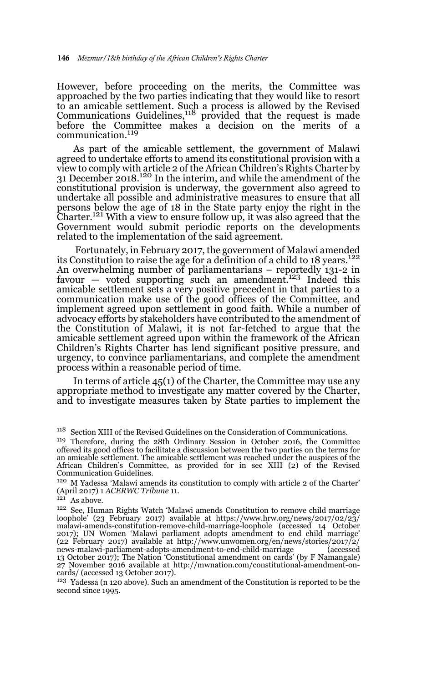However, before proceeding on the merits, the Committee was approached by the two parties indicating that they would like to resort to an amicable settlement. Such a process is allowed by the Revised Communications Guidelines,118 provided that the request is made before the Committee makes a decision on the merits of a communication.<sup>119</sup>

As part of the amicable settlement, the government of Malawi agreed to undertake efforts to amend its constitutional provision with a view to comply with article 2 of the African Children's Rights Charter by 31 December 2018.<sup>120</sup> In the interim, and while the amendment of the constitutional provision is underway, the government also agreed to undertake all possible and administrative measures to ensure that all persons below the age of 18 in the State party enjoy the right in the Charter.121 With a view to ensure follow up, it was also agreed that the Government would submit periodic reports on the developments related to the implementation of the said agreement.

 Fortunately, in February 2017, the government of Malawi amended its Constitution to raise the age for a definition of a child to 18 years.<sup>122</sup> An overwhelming number of parliamentarians – reportedly 131-2 in favour — voted supporting such an amendment.<sup>123</sup> Indeed this amicable settlement sets a very positive precedent in that parties to a communication make use of the good offices of the Committee, and implement agreed upon settlement in good faith. While a number of advocacy efforts by stakeholders have contributed to the amendment of the Constitution of Malawi, it is not far-fetched to argue that the amicable settlement agreed upon within the framework of the African Children's Rights Charter has lend significant positive pressure, and urgency, to convince parliamentarians, and complete the amendment process within a reasonable period of time.

In terms of article 45(1) of the Charter, the Committee may use any appropriate method to investigate any matter covered by the Charter, and to investigate measures taken by State parties to implement the

<sup>118</sup> Section XIII of the Revised Guidelines on the Consideration of Communications.

<sup>119</sup> Therefore, during the 28th Ordinary Session in October 2016, the Committee offered its good offices to facilitate a discussion between the two parties on the terms for an amicable settlement. The amicable settlement was reached under the auspices of the African Children's Committee, as provided for in sec XIII (2) of the Revised Communication Guidelines.

<sup>120</sup> M Yadessa 'Malawi amends its constitution to comply with article 2 of the Charter' (April 2017) 1 *ACERWC Tribune* 11.

 $121$  As above.

<sup>122</sup> See, Human Rights Watch 'Malawi amends Constitution to remove child marriage loophole' (23 February 2017) available at https://www.hrw.org/news/2017/02/23/ malawi-amends-constitution-remove-child-marriage-loophole (accessed 14 October 2017); UN Women 'Malawi parliament adopts amendment to end child marriage' (22 February 2017) available at http://www.unwomen.org/en/news/stories/2017/2/ news-malawi-parliament-adopts-amendment-to-end-child-marriage (accessed 13 October 2017); The Nation 'Constitutional amendment on cards' (by F Namangale) 27 November 2016 available at http://mwnation.com/constitutional-amendment-oncards/ (accessed 13 October 2017).

<sup>123</sup> Yadessa (n 120 above). Such an amendment of the Constitution is reported to be the second since 1995.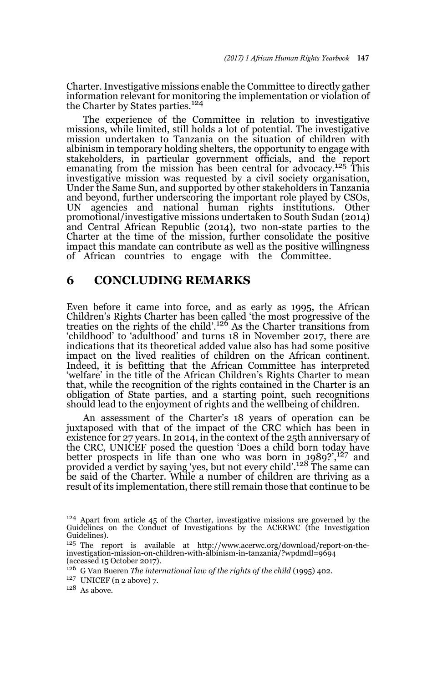Charter. Investigative missions enable the Committee to directly gather information relevant for monitoring the implementation or violation of the Charter by States parties.<sup>124</sup>

The experience of the Committee in relation to investigative missions, while limited, still holds a lot of potential. The investigative mission undertaken to Tanzania on the situation of children with albinism in temporary holding shelters, the opportunity to engage with stakeholders, in particular government officials, and the report emanating from the mission has been central for advocacy.125 This investigative mission was requested by a civil society organisation, Under the Same Sun, and supported by other stakeholders in Tanzania and beyond, further underscoring the important role played by CSOs,<br>UN agencies and national human rights institutions. Other agencies and national human rights institutions. Other promotional/investigative missions undertaken to South Sudan (2014) and Central African Republic (2014), two non-state parties to the Charter at the time of the mission, further consolidate the positive impact this mandate can contribute as well as the positive willingness of African countries to engage with the Committee.

#### **6 CONCLUDING REMARKS**

Even before it came into force, and as early as 1995, the African Children's Rights Charter has been called 'the most progressive of the treaties on the rights of the child'.126 As the Charter transitions from 'childhood' to 'adulthood' and turns 18 in November 2017, there are indications that its theoretical added value also has had some positive impact on the lived realities of children on the African continent. Indeed, it is befitting that the African Committee has interpreted 'welfare' in the title of the African Children's Rights Charter to mean that, while the recognition of the rights contained in the Charter is an obligation of State parties, and a starting point, such recognitions should lead to the enjoyment of rights and the wellbeing of children.

An assessment of the Charter's 18 years of operation can be juxtaposed with that of the impact of the CRC which has been in existence for 27 years. In 2014, in the context of the 25th anniversary of the CRC, UNICEF posed the question 'Does a child born today have better prospects in life than one who was born in  $1989$ ?<sup>',127</sup> and provided a verdict by saying 'yes, but not every child'.<sup>128</sup> The same can be said of the Charter. While a number of children are thriving as a result of its implementation, there still remain those that continue to be

<sup>124</sup> Apart from article 45 of the Charter, investigative missions are governed by the Guidelines on the Conduct of Investigations by the ACERWC (the Investigation Guidelines).

<sup>&</sup>lt;sup>125</sup> The report is available at http://www.acerwc.org/download/report-on-theinvestigation-mission-on-children-with-albinism-in-tanzania/?wpdmdl=9694 (accessed 15 October 2017).

<sup>126</sup> G Van Bueren *The international law of the rights of the child* (1995) 402.

 $127$  UNICEF (n 2 above) 7.

 $128$  As above.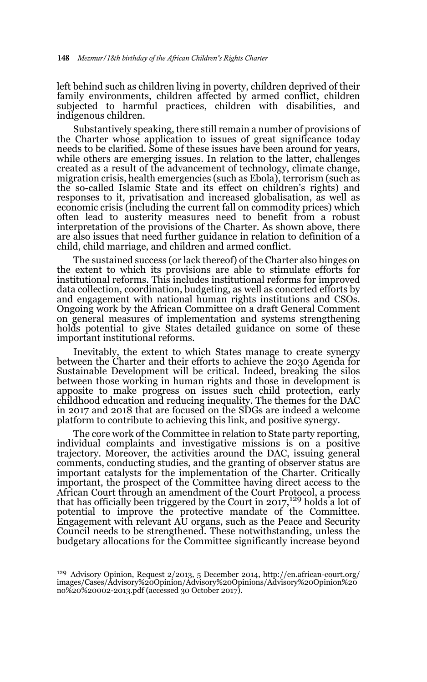left behind such as children living in poverty, children deprived of their family environments, children affected by armed conflict, children subjected to harmful practices, children with disabilities, and indigenous children.

Substantively speaking, there still remain a number of provisions of the Charter whose application to issues of great significance today needs to be clarified. Some of these issues have been around for years, while others are emerging issues. In relation to the latter, challenges created as a result of the advancement of technology, climate change, migration crisis, health emergencies (such as Ebola), terrorism (such as the so-called Islamic State and its effect on children's rights) and responses to it, privatisation and increased globalisation, as well as economic crisis (including the current fall on commodity prices) which often lead to austerity measures need to benefit from a robust interpretation of the provisions of the Charter. As shown above, there are also issues that need further guidance in relation to definition of a child, child marriage, and children and armed conflict.

The sustained success (or lack thereof) of the Charter also hinges on the extent to which its provisions are able to stimulate efforts for institutional reforms. This includes institutional reforms for improved data collection, coordination, budgeting, as well as concerted efforts by and engagement with national human rights institutions and CSOs. Ongoing work by the African Committee on a draft General Comment on general measures of implementation and systems strengthening holds potential to give States detailed guidance on some of these important institutional reforms.

Inevitably, the extent to which States manage to create synergy between the Charter and their efforts to achieve the 2030 Agenda for Sustainable Development will be critical. Indeed, breaking the silos between those working in human rights and those in development is apposite to make progress on issues such child protection, early childhood education and reducing inequality. The themes for the DAC in 2017 and 2018 that are focused on the SDGs are indeed a welcome platform to contribute to achieving this link, and positive synergy.

The core work of the Committee in relation to State party reporting, individual complaints and investigative missions is on a positive trajectory. Moreover, the activities around the DAC, issuing general comments, conducting studies, and the granting of observer status are important catalysts for the implementation of the Charter. Critically important, the prospect of the Committee having direct access to the African Court through an amendment of the Court Protocol, a process that has officially been triggered by the Court in  $2017,^{129}$  holds a lot of potential to improve the protective mandate of the Committee. Engagement with relevant AU organs, such as the Peace and Security Council needs to be strengthened. These notwithstanding, unless the budgetary allocations for the Committee significantly increase beyond

<sup>129</sup> Advisory Opinion, Request 2/2013, 5 December 2014, http://en.african-court.org/ images/Cases/Advisory%20Opinion/Advisory%20Opinions/Advisory%20Opinion%20 no%20%20002-2013.pdf (accessed 30 October 2017).